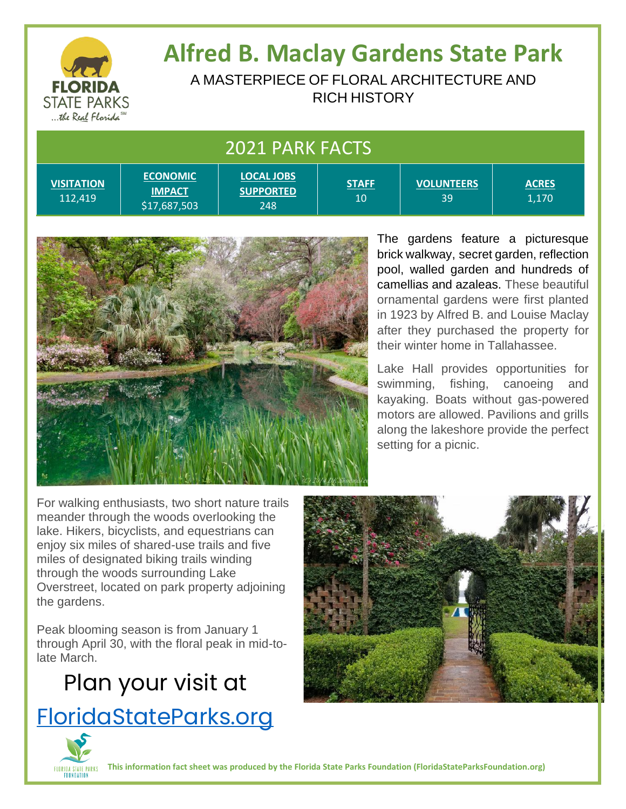

# **Alfred B. Maclay Gardens State Park**

A MASTERPIECE OF FLORAL ARCHITECTURE AND RICH HISTORY

> **STAFF** 10

#### 2021 PARK FACTS

**VISITATION** 112,419

**ECONOMIC IMPACT** \$17,687,503 **LOCAL JOBS SUPPORTED** 248

**VOLUNTEERS** 39

**ACRES** 1,170

The gardens feature a picturesque brick walkway, secret garden, reflection pool, walled garden and hundreds of camellias and azaleas. These beautiful ornamental gardens were first planted in 1923 by Alfred B. and Louise Maclay after they purchased the property for their winter home in Tallahassee.

Lake Hall provides opportunities for swimming, fishing, canoeing and kayaking. Boats without gas-powered motors are allowed. Pavilions and grills along the lakeshore provide the perfect setting for a picnic.

For walking enthusiasts, two short nature trails meander through the woods overlooking the lake. Hikers, bicyclists, and equestrians can enjoy six miles of shared-use trails and five miles of designated biking trails winding through the woods surrounding Lake Overstreet, located on park property adjoining the gardens.

Peak blooming season is from January 1 through April 30, with the floral peak in mid-tolate March.

# Plan your visit at [FloridaStateParks.org](http://www.floridastateparks.org/)